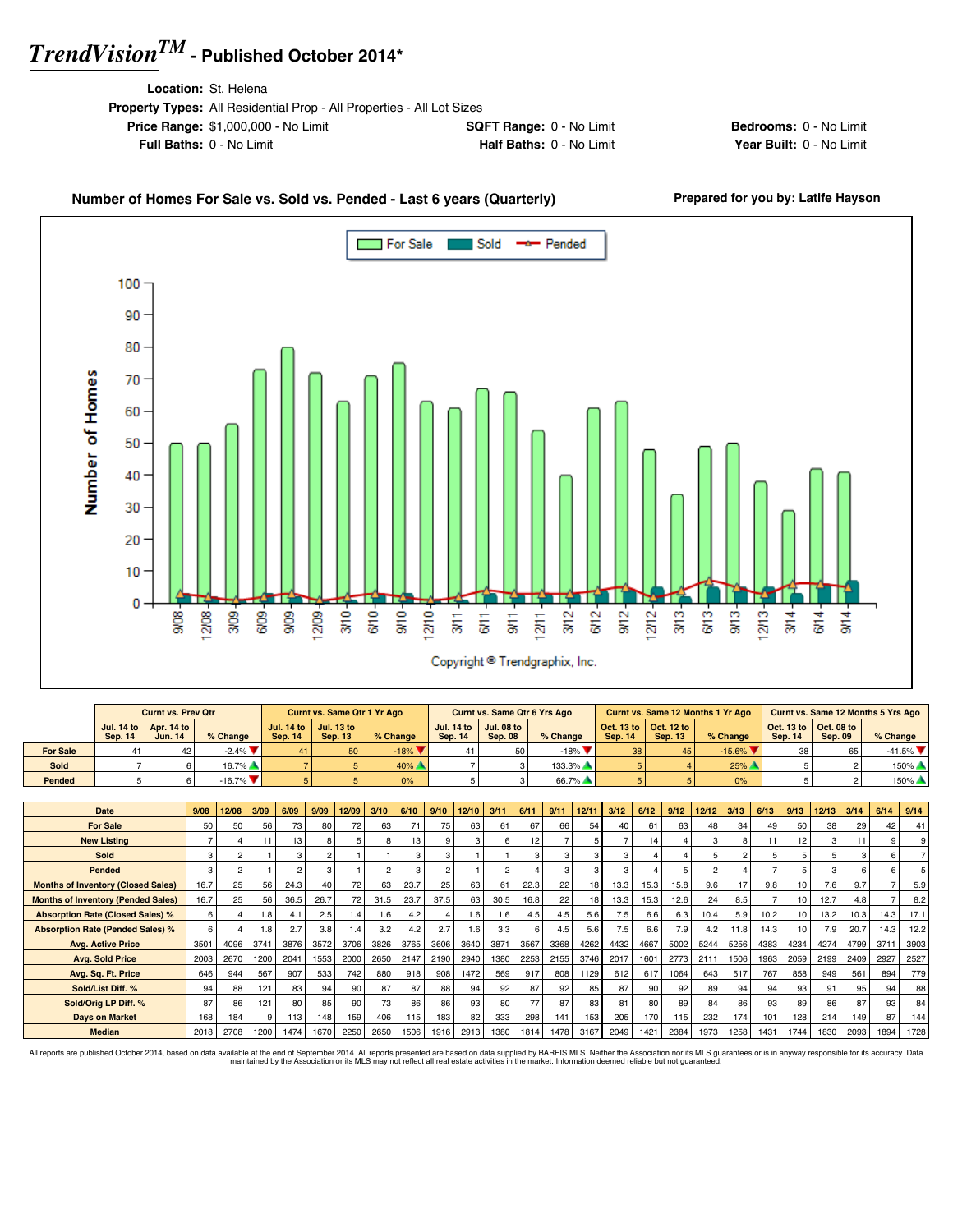**Location:** St. Helena

| <b>Property Types:</b> All Residential Prop - All Properties - All Lot Sizes |                                 |
|------------------------------------------------------------------------------|---------------------------------|
| <b>Price Range: \$1,000,000 - No Limit</b>                                   | <b>SQFT Range: 0 - No Limit</b> |
| <b>Full Baths: 0 - No Limit</b>                                              | Half Baths: 0 - No Limit        |

**Bedrooms:** 0 - No Limit **Year Built: 0 - No Limit** 

#### Number of Homes For Sale vs. Sold vs. Pended - Last 6 years (Quarterly) Prepared for you by: Latife Hayson



|                 |         | <b>Curnt vs. Prev Qtr</b>                               |                               |                | <b>Curnt vs. Same Qtr 1 Yr Ago</b>                      |                             |                | <b>Curnt vs. Same Qtr 6 Yrs Ago</b>         |          |         |                                                                 | <b>Curnt vs. Same 12 Months 1 Yr Ago</b> |                                                                 |         | Curnt vs. Same 12 Months 5 Yrs Ago |
|-----------------|---------|---------------------------------------------------------|-------------------------------|----------------|---------------------------------------------------------|-----------------------------|----------------|---------------------------------------------|----------|---------|-----------------------------------------------------------------|------------------------------------------|-----------------------------------------------------------------|---------|------------------------------------|
|                 | Sep. 14 | Jul. 14 to $\vert$ Apr. 14 to $\vert$<br><b>Jun. 14</b> | $%$ Change                    | <b>Sep. 14</b> | Jul. 14 to $\vert$ Jul. 13 to $\vert$<br><b>Sep. 13</b> | % Change                    | <b>Sep. 14</b> | Jul. 14 to   Jul. 08 to  <br><b>Sep. 08</b> | % Change | Sep. 14 | $\vert$ Oct. 13 to $\vert$ Oct. 12 to $\vert$<br><b>Sep. 13</b> | % Change                                 | $\vert$ Oct. 13 to $\vert$ Oct. 08 to $\vert$<br><b>Sep. 14</b> | Sep. 09 | $%$ Change                         |
| <b>For Sale</b> |         | 42                                                      | $-2.4\%$ $\blacktriangledown$ |                | 50                                                      | $-18%$ $\blacktriangledown$ |                |                                             | $-18%$   | 38      |                                                                 | $-15.6\%$ $\blacktriangledown$           | 38                                                              | 65      | $-41.5\%$ $\blacktriangledown$     |
| Sold            |         |                                                         | $16.7\%$                      |                |                                                         | 40%                         |                |                                             | 133.3%   |         |                                                                 | 25%                                      |                                                                 |         | 150%                               |
| Pended          |         |                                                         | $-16.7\%$                     |                |                                                         | 0%                          |                |                                             | 66.7%    |         |                                                                 | 0%                                       |                                                                 |         | $150\%$                            |

| Date                                      | 9/08 | 12/08 | 3/09 | 6/09 | 9/09 | 12/09 | 3/10           | 6/10 | 9/10 | 12/10 | 3/11 | 6/11 | 9/11 | 12/11 | 3/12 | 6/12 | 9/12 | 12/12 | 3/13 | 6/13            | 9/13 | 12/13 | 3/14 | 6/14 | 9/14           |
|-------------------------------------------|------|-------|------|------|------|-------|----------------|------|------|-------|------|------|------|-------|------|------|------|-------|------|-----------------|------|-------|------|------|----------------|
| <b>For Sale</b>                           | 50   | 50    | 56   | 73   | 80   | 72    | 63             | 71   | 75   | 63    | 61   | 67   | 66   | 54    | 40   | 61   | 63   | 48    | 34   | 49              | 50   | 38    | 29   | 42   | 41             |
| <b>New Listing</b>                        |      |       |      | 13   |      |       | 8              | 13   | 9    |       |      | 12   |      |       |      | 14   |      |       | 8    |                 | 12   |       |      |      | 9 <sup>1</sup> |
| Sold                                      | 3    |       |      |      |      |       |                | з    | 3    |       |      |      |      |       |      |      |      |       | 2    |                 |      |       |      |      |                |
| Pended                                    | 3    |       |      |      |      |       | $\overline{2}$ | 3    | 2    |       | 2    |      |      |       |      |      | 5    |       |      |                 | 5    |       |      |      |                |
| <b>Months of Inventory (Closed Sales)</b> | 16.7 | 25    | 56   | 24.3 | 40   | 72    | 63             | 23.7 | 25   | 63    | 61   | 22.3 | 22   | 18    | 13.3 | 15.3 | 15.8 | 9.6   | 17   | 9.8             | 10   | 7.6   | 9.7  |      | 5.9            |
| <b>Months of Inventory (Pended Sales)</b> | 16.7 | 25    | 56   | 36.5 | 26.7 | 72    | 31.5           | 23.7 | 37.5 | 63    | 30.5 | 16.8 | 22   | 18    | 13.3 | 15.3 | 12.6 | 24    | 8.5  |                 | 10   | 12.7  | 4.8  |      | 8.2            |
| <b>Absorption Rate (Closed Sales) %</b>   | 6    |       | 1.8  | 4.1  | 2.5  | 1.4   | .6             | 4.2  |      | 1.6   | 1.6  | 4.5  | 4.5  | 5.6   | 7.5  | 6.6  | 6.3  | 10.4  | 5.9  | 10.2            | 10   | 13.2  | 10.3 | 14.3 | 17.1           |
| <b>Absorption Rate (Pended Sales) %</b>   |      |       | 1.8  | 2.7  | 3.8  | 1.4   | 3.2            | 4.2  | 2.7  | 1.6   | 3.3  | ĥ    | 4.5  | 5.6   | 7.5  | 6.6  | 7.9  | 4.2   | 11.8 | 14.3            | 10   | 7.9   | 20.7 | 14.3 | 12.2           |
| <b>Avg. Active Price</b>                  | 3501 | 4096  | 3741 | 3876 | 3572 | 3706  | 3826           | 3765 | 3606 | 3640  | 3871 | 3567 | 3368 | 4262  | 4432 | 4667 | 5002 | 5244  | 5256 | 4383            | 4234 | 4274  | 4799 | 3711 | 3903           |
| <b>Avg. Sold Price</b>                    | 2003 | 2670  | 1200 | 2041 | 1553 | 2000  | 2650           | 2147 | 2190 | 2940  | 1380 | 2253 | 2155 | 3746  | 2017 | 1601 | 2773 | 2111  | 1506 | 1963            | 2059 | 2199  | 2409 | 2927 | 2527           |
| Avg. Sq. Ft. Price                        | 646  | 944   | 567  | 907  | 533  | 742   | 880            | 918  | 908  | 1472  | 569  | 917  | 808  | 1129  | 612  | 617  | 1064 | 643   | 517  | 767             | 858  | 949   | 561  | 894  | 779            |
| Sold/List Diff. %                         | 94   | 88    | 121  | 83   | 94   | 90    | 87             | 87   | 88   | 94    | 92   | 87   | 92   | 85    | 87   | 90   | 92   | 89    | 94   | 94              | 93   | 91    | 95   | 94   | 88             |
| Sold/Orig LP Diff. %                      | 87   | 86    | 121  | 80   | 85   | 90    | 73             | 86   | 86   | 93    | 80   | 77   | 87   | 83    | 81   | 80   | 89   | 84    | 86   | 93 <sub>1</sub> | 89   | 86    | 87   | 93   | 84             |
| <b>Days on Market</b>                     | 168  | 184   |      | 113  | 148  | 159   | 406            | 115  | 183  | 82    | 333  | 298  | 141  | 153   | 205  | 170  | 115  | 232   | 174  | 101             | 128  | 214   | 149  | 87   | 144            |
| <b>Median</b>                             | 2018 | 2708  | 1200 | 1474 | 1670 | 2250  | 2650           | 1506 | 1916 | 2913  | 1380 | 1814 | 1478 | 3167  | 2049 | 1421 | 2384 | 1973  | 1258 | 1431            | 1744 | 1830  | 2093 | 1894 | 1728           |

All reports are published October 2014, based on data available at the end of September 2014. All reports presented are based on data avaindanced by the Association or its MLS may not reflect all real estate activities in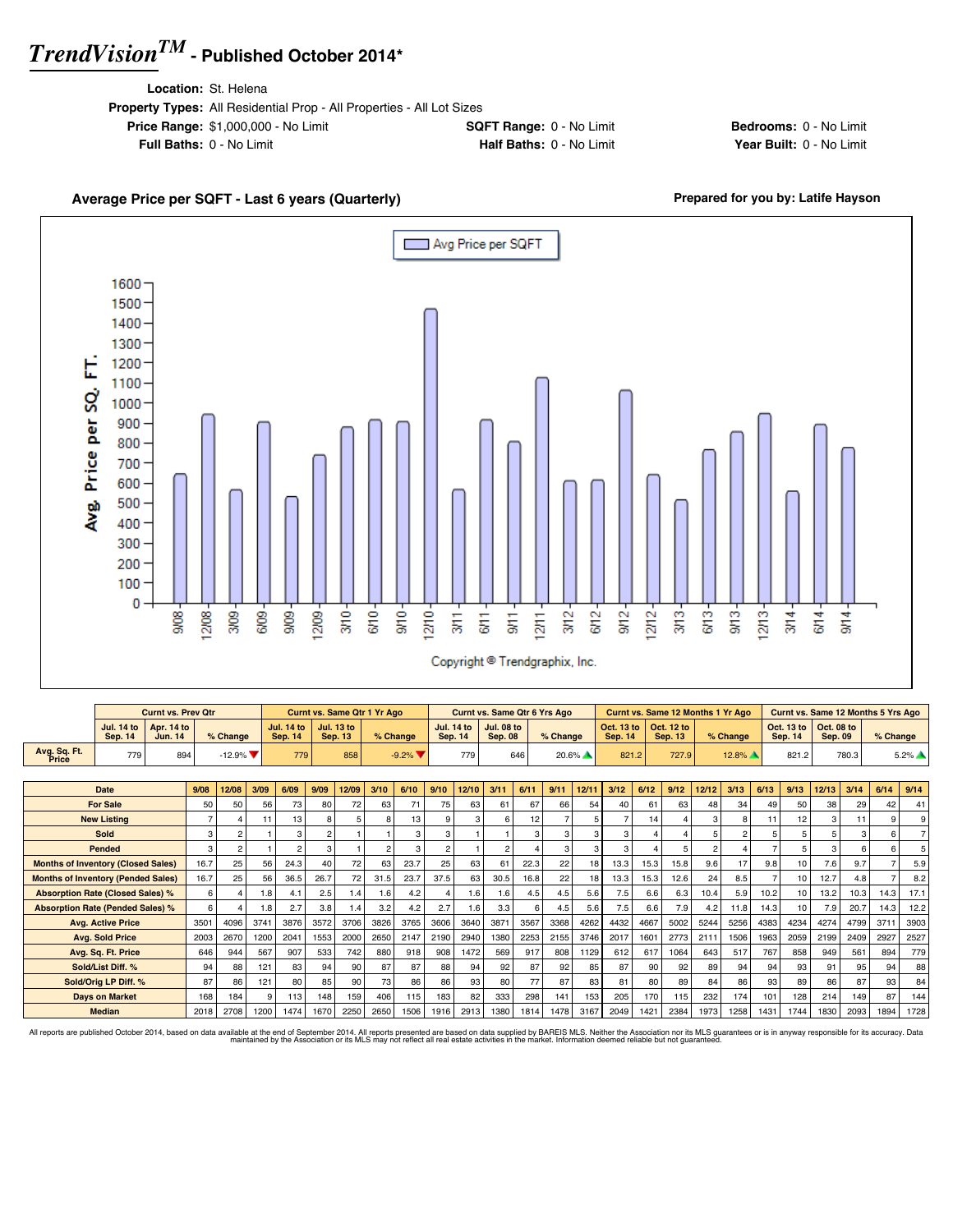**Location:** St. Helena

 $12/08$ 3/09 6/09  $\frac{9}{20}$ 12/09-

908

| <b>Property Types:</b> All Residential Prop - All Properties - All Lot Sizes |                                 |
|------------------------------------------------------------------------------|---------------------------------|
| <b>Price Range: \$1,000,000 - No Limit</b>                                   | <b>SQFT Range: 0 - No Limit</b> |
| <b>Full Baths: 0 - No Limit</b>                                              | <b>Half Baths: 0 - No Limit</b> |

 $\frac{370}{5}$  $6/10-$   $9/10 12/10 -$  **Bedrooms:** 0 - No Limit **Year Built: 0 - No Limit** 

 $3<sup>13</sup>$ 

 $6/13 \frac{3}{2}$  $12/13 3/14$ 

 $6/14$  $9/14$ 

### Avg Price per SQFT Г 1600 1500 1400 1300 Avg. Price per SQ. FT. 1200 1100 1000 900 800 700 600 500 400

Average Price per SQFT - Last 6 years (Quarterly) **Average Price per SQFT - Last 6 years (Quarterly) Prepared for you by: Latife Hayson** 

|                                           |                                     | <b>Curnt vs. Prev Qtr</b>    |                |               |      |                                     |                | <b>Curnt vs. Same Qtr 1 Yr Ago</b>  |               |                              |                |                   | <b>Curnt vs. Same Qtr 6 Yrs Ago</b> |      |          |          |                              |      | <b>Curnt vs. Same 12 Months 1 Yr Ago</b> |                |                |                | Curnt vs. Same 12 Months 5 Yrs Ago |                              |       |          |                     |
|-------------------------------------------|-------------------------------------|------------------------------|----------------|---------------|------|-------------------------------------|----------------|-------------------------------------|---------------|------------------------------|----------------|-------------------|-------------------------------------|------|----------|----------|------------------------------|------|------------------------------------------|----------------|----------------|----------------|------------------------------------|------------------------------|-------|----------|---------------------|
|                                           | <b>Jul. 14 to</b><br><b>Sep. 14</b> | <b>Apr. 14 to</b><br>Jun. 14 |                | % Change      |      | <b>Jul. 14 to</b><br><b>Sep. 14</b> |                | <b>Jul. 13 to</b><br><b>Sep. 13</b> |               | % Change                     | <b>Sep. 14</b> | <b>Jul. 14 to</b> | <b>Jul. 08 to</b><br><b>Sep. 08</b> |      | % Change |          | Oct. 13 to<br><b>Sep. 14</b> |      | Oct. 12 to<br><b>Sep. 13</b>             |                | % Change       |                | Oct. 13 to<br><b>Sep. 14</b>       | Oct. 08 to<br><b>Sep. 09</b> |       | % Change |                     |
| Avg. Sq. Ft.<br>Price                     | 779                                 | 894                          |                | $-12.9\%$     |      | 779                                 |                | 858                                 |               | $-9.2%$ $\blacktriangledown$ |                | 779               |                                     | 646  |          | $20.6\%$ | 821.2                        |      | 727.9                                    |                | 12.8%          |                | 821.2                              |                              | 780.3 |          | $5.2\%$ $\triangle$ |
|                                           |                                     |                              |                |               |      |                                     |                |                                     |               |                              |                |                   |                                     |      |          |          |                              |      |                                          |                |                |                |                                    |                              |       |          |                     |
|                                           | Date                                |                              | 9/08           | 12/08         | 3/09 | 6/09                                | 9/09           | 12/09                               | 3/10          | 6/10                         | 9/10           | 12/10             | 3/11                                | 6/11 | 9/11     | 12/11    | 3/12                         | 6/12 | 9/12                                     | 12/12          | 3/13           | 6/13           | 9/13                               | 12/13                        | 3/14  | 6/14     | 9/14                |
|                                           | <b>For Sale</b>                     |                              | 50             | 50            | 56   | 73                                  | 80             | 72                                  | 63            | 71                           | 75             | 63                | 61                                  | 67   | 66       | 54       | 40                           | 61   | 63                                       | 48             | 34             | 49             | 50                                 | 38                           | 29    | 42       | 41                  |
|                                           | <b>New Listing</b>                  |                              | $\overline{7}$ |               | 11   | 13                                  | 8              | 5                                   | 8             | 13                           | 9              | 3                 | ĥ                                   | 12   |          |          |                              | 14   |                                          | 3              | 8              | $-11$          | 12                                 |                              | 11    |          | 9 <sup>1</sup>      |
|                                           | Sold                                |                              | 3              |               |      |                                     | $\overline{c}$ |                                     |               | 3                            | 3              |                   |                                     | 3    |          |          | 3                            |      |                                          |                | $\overline{2}$ | 5              | 5                                  |                              |       |          | $\overline{7}$      |
|                                           | Pended                              |                              | 3              | $\mathcal{P}$ |      |                                     | 3              |                                     | $\mathcal{P}$ | 3                            | $\overline{2}$ |                   | $\mathfrak{p}$                      |      |          | з        | з                            |      | 5                                        | $\overline{2}$ | $\Delta$       | $\overline{7}$ | 5                                  |                              |       |          | 5 <sup>1</sup>      |
| <b>Months of Inventory (Closed Sales)</b> |                                     |                              | 16.7           | 25            | 56   | 24.3                                | 40             | 72                                  | 63            | 23.7                         | 25             | 63                | 61                                  | 22.3 | 22       | 18       | 13.3                         | 15.3 | 15.8                                     | 9.6            | 17             | 9.8            | 10                                 | 7.6                          | 9.7   |          | 5.9                 |
| <b>Months of Inventory (Pended Sales)</b> |                                     |                              | 16.7           | 25            | 56   | 36.5                                | 26.7           | 72                                  | 31.5          | 23.7                         | 37.5           | 63                | 30.5                                | 16.8 | 22       | 18       | 13.3                         | 15.3 | 12.6                                     | 24             | 8.5            |                | 10                                 | 12.7                         | 4.8   |          | 8.2                 |
| <b>Absorption Rate (Closed Sales) %</b>   |                                     |                              | 6              |               | 1.8  | 4.1                                 | 2.5            | 1.4                                 | 1.6           | 4.2                          |                | 1.6               | 1.6                                 | 4.5  | 4.5      | 5.6      | 7.5                          | 6.6  | 6.3                                      | 10.4           | 5.9            | 10.2           | 10                                 | 13.2                         | 10.3  | 14.3     | 17.1                |
| <b>Absorption Rate (Pended Sales) %</b>   |                                     |                              | 6              |               | 1.8  | 2.7                                 | 3.8            | 1.4                                 | 3.2           | 4.2                          | 2.7            | 1.6               | 3.3                                 | 6    | 4.5      | 5.6      | 7.5                          | 6.6  | 7.9                                      | 4.2            | 11.8           | 14.3           | 10                                 | 7.9                          | 20.7  | 14.3     | 12.2                |
|                                           | <b>Ava. Active Price</b>            |                              | 3501           | 4096          | 3741 | 3876                                | 3572           | 3706                                | 3826          | 3765                         | 3606           | 3640              | 3871                                | 3567 | 3368     | 4262     | 4432                         | 4667 | 5002                                     | 5244           | 5256           | 4383           | 4234                               | 4274                         | 4799  | 3711     | 3903                |
|                                           | <b>Avg. Sold Price</b>              |                              | 2003           | 2670          | 1200 | 2041                                | 1553           | 2000                                | 2650          | 2147                         | 2190           | 2940              | 1380                                | 2253 | 2155     | 3746     | 2017                         | 1601 | 2773                                     | 2111           | 1506           | 1963           | 2059                               | 2199                         | 2409  | 2927     | 2527                |
|                                           | Avg. Sq. Ft. Price                  |                              | 646            | 944           | 567  | 907                                 | 533            | 742                                 | 880           | 918                          | 908            | 1472              | 569                                 | 917  | 808      | 1129     | 612                          | 617  | 1064                                     | 643            | 517            | 767            | 858                                | 949                          | 561   | 894      | 779                 |
|                                           | Sold/List Diff. %                   |                              | 94             | 88            | 121  | 83                                  | 94             | 90                                  | 87            | 87                           | 88             | 94                | 92                                  | 87   | 92       | 85       | 87                           | 90   | 92                                       | 89             | 94             | 94             | 93                                 | 91                           | 95    | 94       | 88                  |
|                                           | Sold/Orig LP Diff. %                |                              | 87             | 86            | 121  | 80                                  | 85             | 90                                  | 73            | 86                           | 86             | 93                | 80                                  | 77   | 87       | 83       | 81                           | 80   | 89                                       | 84             | 86             | 93             | 89                                 | 86                           | 87    | 93       | 84                  |
|                                           | <b>Days on Market</b>               |                              | 168            | 184           |      | 113                                 | 148            | 159                                 | 406           | 115                          | 183            | 82                | 333                                 | 298  | 141      | 153      | 205                          | 170  | 115                                      | 232            | 174            | 101            | 128                                | 214                          | 149   | 87       | 144                 |
|                                           | <b>Median</b>                       |                              | 2018           | 2708          | 1200 | 1474                                | 1670           | 2250                                | 2650          | 1506                         | 1916           | 2913              | 1380                                | 1814 | 1478     | 3167     | 2049                         | 1421 | 2384                                     | 1973           | 1258           | 1431           | 1744                               | 1830                         | 2093  | 1894     | 1728                |

 $6/11$  $rac{1}{30}$  $1211 3/12 6/12$  $9/12 12/12 -$ 

Copyright <sup>@</sup> Trendgraphix, Inc.

 $3/11$ 

All reports are published October 2014, based on data available at the end of September 2014. All reports presented are based on data avaindanced by the Association or its MLS may not reflect all real estate activities in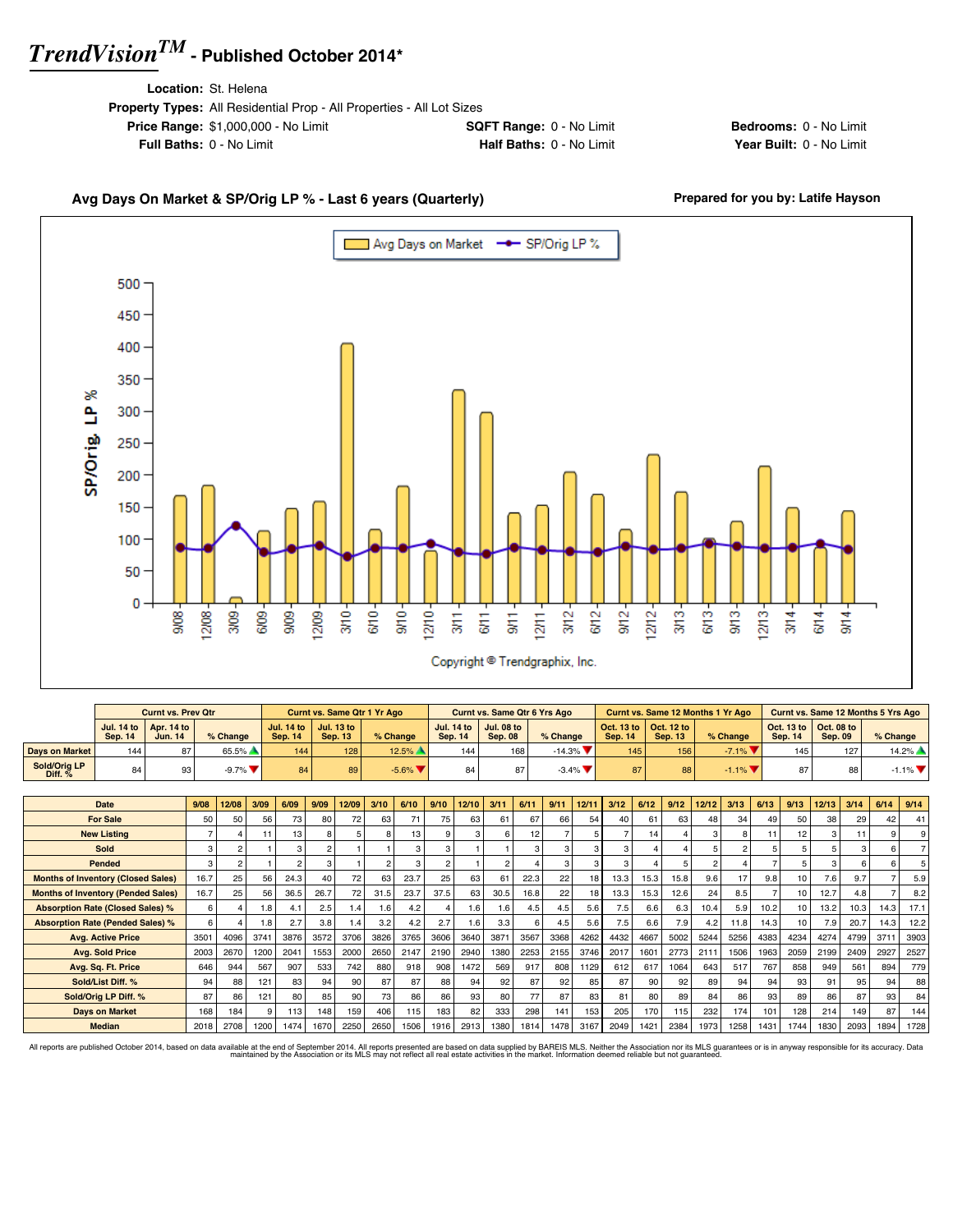**Location:** St. Helena

| <b>Property Types:</b> All Residential Prop - All Properties - All Lot Sizes |                                 |
|------------------------------------------------------------------------------|---------------------------------|
| <b>Price Range: \$1,000,000 - No Limit</b>                                   | <b>SQFT Range: 0 - No Limit</b> |
| <b>Full Baths: 0 - No Limit</b>                                              | Half Baths: 0 - No Limit        |
|                                                                              |                                 |

**Bedrooms:** 0 - No Limit **Year Built: 0 - No Limit** 

### Avg Days On Market & SP/Orig LP % - Last 6 years (Quarterly) **Prepared for you by: Latife Hayson**



|                           |                | <b>Curnt vs. Prev Qtr</b>                        |                               |                | <b>Curnt vs. Same Qtr 1 Yr Ago</b>                      |                      |         | <b>Curnt vs. Same Qtr 6 Yrs Ago</b>         |                         |                |                                                         | Curnt vs. Same 12 Months 1 Yr Ago |                |                                                                 | <b>Curnt vs. Same 12 Months 5 Yrs Ago</b> |
|---------------------------|----------------|--------------------------------------------------|-------------------------------|----------------|---------------------------------------------------------|----------------------|---------|---------------------------------------------|-------------------------|----------------|---------------------------------------------------------|-----------------------------------|----------------|-----------------------------------------------------------------|-------------------------------------------|
|                           | <b>Sep. 14</b> | Jul. 14 to $\vert$ Apr. 14 to $\vert$<br>Jun. 14 | % Change                      | <b>Sep. 14</b> | Jul. 14 to $\vert$ Jul. 13 to $\vert$<br><b>Sep. 13</b> | % Change             | Sep. 14 | Jul. 14 to   Jul. 08 to  <br><b>Sep. 08</b> | $%$ Change              | <b>Sep. 14</b> | Oct. 13 to $\vert$ Oct. 12 to $\vert$<br><b>Sep. 13</b> | % Change                          | <b>Sep. 14</b> | $\vert$ Oct. 13 to $\vert$ Oct. 08 to $\vert$<br><b>Sep. 09</b> | $%$ Change                                |
| Days on Market            | 144            | 87                                               | 65.5%                         | 144            | 128                                                     | $12.5\%$ $\triangle$ | 144     | 168                                         | $-14.3\%$               | 145            | 156                                                     | $-7.1\%$ $\blacksquare$           | 145            | 127                                                             | $14.2\%$ $\triangle$                      |
| Sold/Oria LP<br>Diff. $%$ | 84             | 93                                               | $-9.7\%$ $\blacktriangledown$ | 84             | 89                                                      | $-5.6\%$             | 84      |                                             | $-3.4\%$ $\blacksquare$ | 87             | 88                                                      | $-1.1\%$ $\blacksquare$           | 87             | 88                                                              | $-1.1\%$ $\blacktriangledown$             |

| Date                                      | 9/08           | 12/08           | 3/09 | 6/09 | 9/09 | 12/09 | 3/10   | 6/10 | 9/10           | 12/10 | 3/11           | 6/11 | 9/11 | 12/11           | 3/12 | 6/12 | 9/12 | 12/12         | 3/13           | 6/13 | 9/13            | 12/13 | 3/14 | 6/14     | 9/14 |
|-------------------------------------------|----------------|-----------------|------|------|------|-------|--------|------|----------------|-------|----------------|------|------|-----------------|------|------|------|---------------|----------------|------|-----------------|-------|------|----------|------|
| <b>For Sale</b>                           | 50             | 50              | 56   | 73   | 80   | 72    | 63     | 71   | 75             | 63    | 61             | 67   | 66   | 54              | 40   | 61   | 63   | 48            | 34             | 49   | 50              | 38    | 29   | 42       | 41   |
| <b>New Listing</b>                        | $\overline{ }$ |                 | 11   | 13   |      |       |        | 13   | $\mathbf{Q}$   | 3     | ĥ              | 12   |      |                 |      | 14   |      | $\mathcal{R}$ | 8              |      | 12              |       | 11   | $\Omega$ |      |
| Sold                                      | 3              |                 |      |      |      |       |        | 3    | $\mathbf{3}$   |       |                | 3    |      |                 |      |      |      |               | $\mathfrak{p}$ |      | 5               |       |      |          |      |
| Pended                                    | 3              |                 |      |      |      |       | ີ      | 3    | $\mathfrak{p}$ |       | $\mathfrak{p}$ |      |      |                 |      |      | 5    |               |                |      | 5               |       |      |          |      |
| <b>Months of Inventory (Closed Sales)</b> | 16.7           | 25              | 56   | 24.3 | 40   | 72    | 63     | 23.7 | 25             | 63    | 61             | 22.3 | 22   | 18 <sup>1</sup> | 13.3 | 15.3 | 15.8 | 9.6           | 17             | 9.8  | 10 <sup>1</sup> | 7.6   | 9.7  |          | 5.9  |
| <b>Months of Inventory (Pended Sales)</b> | 16.7           | 25 <sub>1</sub> | 56   | 36.5 | 26.7 | 72    | 31.5   | 23.7 | 37.5           | 63    | 30.5           | 16.8 | 22   | 18 <sup>1</sup> | 13.3 | 15.3 | 12.6 | 24            | 8.5            |      | 10              | 12.7  | 4.8  |          | 8.2  |
| <b>Absorption Rate (Closed Sales) %</b>   | 6              |                 | 1.8  | 4.1  | 2.5  | 1.4   | $.6\,$ | 4.2  |                | 1.6   | 1.6            | 4.5  | 4.5  | 5.6             | 7.5  | 6.6  | 6.3  | 10.4          | 5.9            | 10.2 | 10              | 13.2  | 10.3 | 14.3     | 17.1 |
| <b>Absorption Rate (Pended Sales) %</b>   | 6              |                 | 1.8  | 2.7  | 3.8  | 1.4   | 3.2    | 4.2  | 2.7            | 1.6   | 3.3            | ĥ    | 4.5  | 5.6             | 7.5  | 6.6  | 7.9  | 4.2           | 11.8           | 14.3 | 10              | 7.9   | 20.7 | 14.3     | 12.2 |
| <b>Avg. Active Price</b>                  | 3501           | 4096            | 3741 | 3876 | 3572 | 3706  | 3826   | 3765 | 3606           | 3640  | 3871           | 3567 | 3368 | 4262            | 4432 | 4667 | 5002 | 5244          | 5256           | 4383 | 4234            | 4274  | 4799 | 3711     | 3903 |
| <b>Avg. Sold Price</b>                    | 2003           | 2670            | 1200 | 2041 | 1553 | 2000  | 2650   | 2147 | 2190           | 2940  | 1380           | 2253 | 2155 | 3746            | 2017 | 1601 | 2773 | 2111          | 1506           | 1963 | 2059            | 2199  | 2409 | 2927     | 2527 |
| Avg. Sq. Ft. Price                        | 646            | 944             | 567  | 907  | 533  | 742   | 880    | 918  | 908            | 1472  | 569            | 917  | 808  | 1129            | 612  | 617  | 1064 | 643           | 517            | 767  | 858             | 949   | 561  | 894      | 779  |
| Sold/List Diff. %                         | 94             | 88              | 121  | 83   | 94   | 90    | 87     | 87   | 88             | 94    | 92             | 87   | 92   | 85              | 87   | 90   | 92   | 89            | 94             | 94   | 93              | 91    | 95   | 94       | 88   |
| Sold/Orig LP Diff. %                      | 87             | 86              | 121  | 80   | 85   | 90    | 73     | 86   | 86             | 93    | 80             | 77   | 87   | 83              | 81   | 80   | 89   | 84            | 86             | 93   | 89              | 86    | 87   | 93       | 84   |
| <b>Days on Market</b>                     | 168            | 184             | 9    | 113  | 148  | 159   | 406    | 115  | 183            | 82    | 333            | 298  | 141  | 153             | 205  | 170  | 115  | 232           | 174            | 101  | 128             | 214   | 149  | 87       | 144  |
| <b>Median</b>                             | 2018           | 2708            | 1200 | 1474 | 1670 | 2250  | 2650   | 1506 | 1916           | 2913  | 1380           | 1814 | 1478 | 3167            | 2049 | 1421 | 2384 | 1973          | 1258           | 1431 | 1744            | 1830  | 2093 | 1894     | 1728 |

All reports are published October 2014, based on data available at the end of September 2014. All reports presented are based on data avapplied by the Association or its MLS may not reflect all real estate activities in th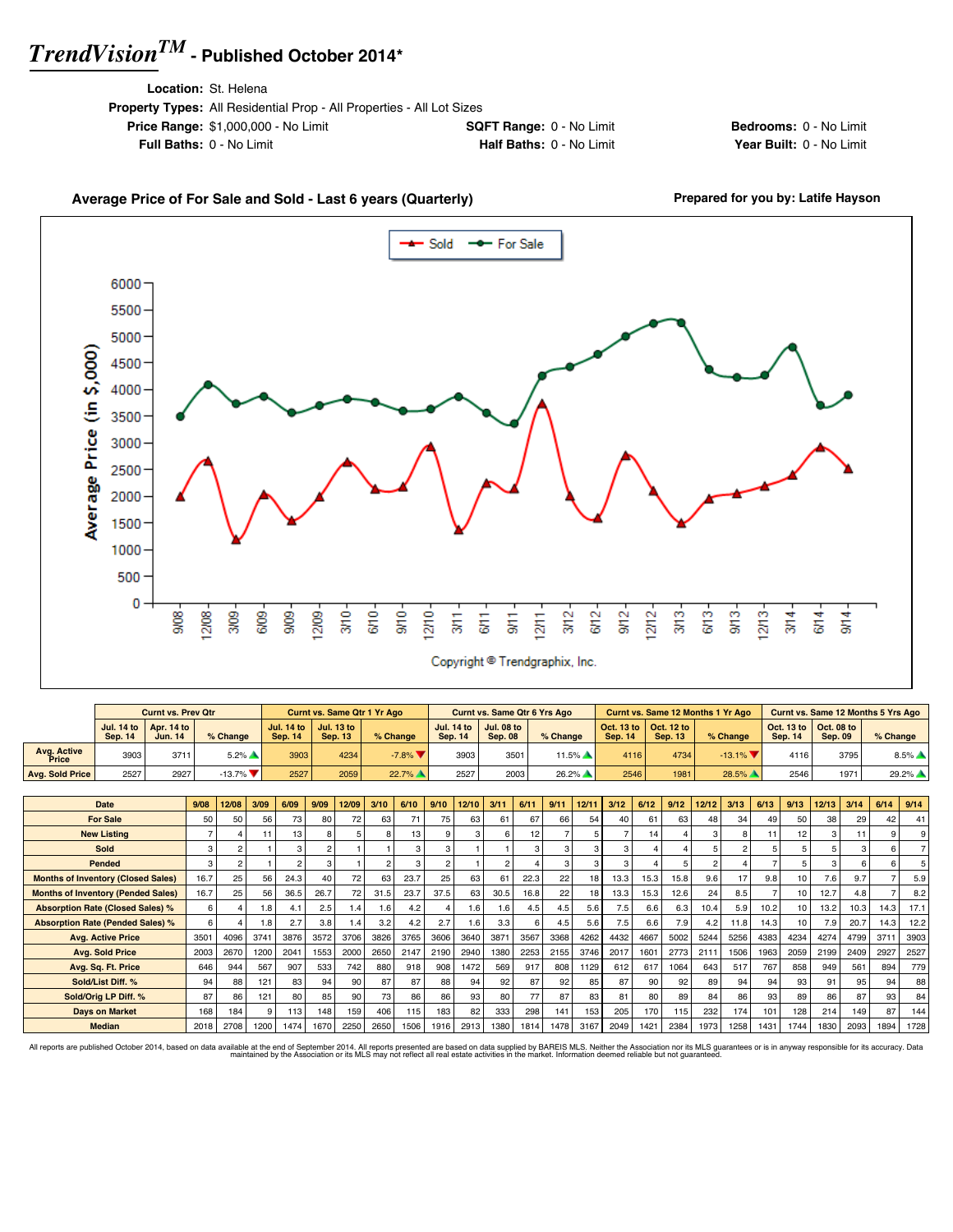**Location:** St. Helena

| LUCQUUIL OL HUUTHA                                                           |                                 |  |
|------------------------------------------------------------------------------|---------------------------------|--|
| <b>Property Types:</b> All Residential Prop - All Properties - All Lot Sizes |                                 |  |
| <b>Price Range: \$1,000,000 - No Limit</b>                                   | <b>SQFT Range: 0 - No Limit</b> |  |
| <b>Full Baths: 0 - No Limit</b>                                              | <b>Half Baths: 0 - No Limit</b> |  |
|                                                                              |                                 |  |

**Bedrooms:** 0 - No Limit **Year Built: 0 - No Limit** 

### Average Price of For Sale and Sold - Last 6 years (Quarterly) **Prepared for you by: Latife Hayson**



|                      |                | <b>Curnt vs. Prev Qtr</b>                               |                                |                                | Curnt vs. Same Qtr 1 Yr Ago         |          |                | <b>Curnt vs. Same Qtr 6 Yrs Ago</b>                     |          |                |                                                         | <b>Curnt vs. Same 12 Months 1 Yr Ago</b> |                                                         |                | Curnt vs. Same 12 Months 5 Yrs Ago |
|----------------------|----------------|---------------------------------------------------------|--------------------------------|--------------------------------|-------------------------------------|----------|----------------|---------------------------------------------------------|----------|----------------|---------------------------------------------------------|------------------------------------------|---------------------------------------------------------|----------------|------------------------------------|
|                      | <b>Sep. 14</b> | Jul. 14 to $\vert$ Apr. 14 to $\vert$<br><b>Jun. 14</b> | % Change                       | Jul. 14 to 1<br><b>Sep. 14</b> | <b>Jul. 13 to</b><br><b>Sep. 13</b> | % Change | <b>Sep. 14</b> | Jul. 14 to $\vert$ Jul. 08 to $\vert$<br><b>Sep. 08</b> | % Change | <b>Sep. 14</b> | Oct. 13 to $\vert$ Oct. 12 to $\vert$<br><b>Sep. 13</b> | % Change                                 | Oct. 13 to $\vert$ Oct. 08 to $\vert$<br><b>Sep. 14</b> | <b>Sep. 09</b> | $%$ Change                         |
| Avg. Active<br>Price | 3903           | 371                                                     | $5.2\%$ $\triangle$            | 3903                           | 4234                                | $-7.8%$  | 3903           | 3501                                                    | $11.5\%$ | 4116           | 4734                                                    | $-13.1\%$                                | 4116                                                    | 3795           | $8.5\%$ $\triangle$                |
| Avg. Sold Price      | 2527           | 2927                                                    | $-13.7\%$ $\blacktriangledown$ | 2527                           | 2059                                | $22.7\%$ | 2527           | 2003                                                    | $26.2\%$ | 2546           | 1981                                                    | 28.5%                                    | 2546                                                    | 1971           | $29.2\%$ $\triangle$               |

| <b>Date</b>                               | 9/08 | 12/08 | 3/09 | 6/09 | 9/09 | 12/09 | 3/10   | 6/10 | 9/10         | 12/10 | 3/11             | 6/11 | 9/11 | 12/11 | 3/12 | 6/12 | 9/12 | 12/12 | 3/13 | 6/13 | 9/13 | 12/13 | 3/14 | 6/14 | 9/14 |
|-------------------------------------------|------|-------|------|------|------|-------|--------|------|--------------|-------|------------------|------|------|-------|------|------|------|-------|------|------|------|-------|------|------|------|
| <b>For Sale</b>                           | 50   | 50    | 56   | 73   | 80   | 72    | 63     | 71   | 75           | 63    | 61               | 67   | 66   | 54    | 40   | 61   | 63   | 48    | 34   | 49   | 50   | 38    | 29   | 42   | 41   |
| <b>New Listing</b>                        |      |       | 11   | 13   |      |       |        | 13   | $\mathbf{Q}$ | 3     |                  | 12   |      |       |      | 14   |      | з     | 8    |      | 12   |       | 11   |      |      |
| Sold                                      | 3    |       |      |      |      |       |        | 3    | 3            |       |                  | 3    |      |       |      |      |      |       |      |      | 5    |       | 3    |      |      |
| Pended                                    | 3    |       |      |      |      |       |        | 3    |              |       |                  |      | з    |       |      |      |      |       |      |      | 5    |       | 6    |      |      |
| <b>Months of Inventory (Closed Sales)</b> | 16.7 | 25    | 56   | 24.3 | 40   | 72    | 63     | 23.7 | 25           | 63    | 61               | 22.3 | 22   | 18    | 13.3 | 15.3 | 15.8 | 9.6   | 17   | 9.8  | 10   | 7.6   | 9.7  |      | 5.9  |
| <b>Months of Inventory (Pended Sales)</b> | 16.7 | 25    | 56   | 36.5 | 26.7 | 72    | 31.5   | 23.7 | 37.5         | 63    | 30.5             | 16.8 | 22   | 18    | 13.3 | 15.3 | 12.6 | 24    | 8.5  |      | 10   | 12.7  | 4.8  |      | 8.2  |
| <b>Absorption Rate (Closed Sales) %</b>   | 6    |       | 1.8  | 4.1  | 2.5  | 1.4   | $.6\,$ | 4.2  |              | 1.6   | 1.6              | 4.5  | 4.5  | 5.6   | 7.5  | 6.6  | 6.3  | 10.4  | 5.9  | 10.2 | 10   | 13.2  | 10.3 | 14.3 | 17.1 |
| <b>Absorption Rate (Pended Sales) %</b>   | 6    |       | 1.8  | 2.7  | 3.8  | 1.4   | 3.2    | 4.2  | 2.7          | 1.6   | 3.3 <sub>1</sub> | 6    | 4.5  | 5.6   | 7.5  | 6.6  | 7.9  | 4.2   | 11.8 | 14.3 | 10   | 7.9   | 20.7 | 14.3 | 12.2 |
| <b>Avg. Active Price</b>                  | 3501 | 4096  | 3741 | 3876 | 3572 | 3706  | 3826   | 3765 | 3606         | 3640  | 3871             | 3567 | 3368 | 4262  | 4432 | 4667 | 5002 | 5244  | 5256 | 4383 | 4234 | 4274  | 4799 | 371  | 3903 |
| <b>Avg. Sold Price</b>                    | 2003 | 2670  | 1200 | 2041 | 1553 | 2000  | 2650   | 2147 | 2190         | 2940  | 1380             | 2253 | 2155 | 3746  | 2017 | 1601 | 2773 | 2111  | 1506 | 1963 | 2059 | 2199  | 2409 | 2927 | 2527 |
| Avg. Sq. Ft. Price                        | 646  | 944   | 567  | 907  | 533  | 742   | 880    | 918  | 908          | 1472  | 569              | 917  | 808  | 1129  | 612  | 617  | 1064 | 643   | 517  | 767  | 858  | 949   | 561  | 894  | 779  |
| Sold/List Diff. %                         | 94   | 88    | 121  | 83   | 94   | 90    | 87     | 87   | 88           | 94    | 92               | 87   | 92   | 85    | 87   | 90   | 92   | 89    | 94   | 94   | 93   | 91    | 95   | 94   | 88   |
| Sold/Orig LP Diff. %                      | 87   | 86    | 121  | 80   | 85   | 90    | 73     | 86   | 86           | 93    | 80               | 77   | 87   | 83    | 81   | 80   | 89   | 84    | 86   | 93   | 89   | 86    | 87   | 93   | 84   |
| <b>Days on Market</b>                     | 168  | 184   | 9    | 113  | 148  | 159   | 406    | 115  | 183          | 82    | 333              | 298  | 141  | 153   | 205  | 170  | 115  | 232   | 174  | 101  | 128  | 214   | 149  | 87   | 144  |
| <b>Median</b>                             | 2018 | 2708  | 1200 | 1474 | 1670 | 2250  | 2650   | 1506 | 1916         | 2913  | 1380             | 1814 | 1478 | 3167  | 2049 | 1421 | 2384 | 1973  | 1258 | 1431 | 1744 | 1830  | 2093 | 1894 | 1728 |

All reports are published October 2014, based on data available at the end of September 2014. All reports presented are based on data avapplied by the Association or its MLS may not reflect all real estate activities in th